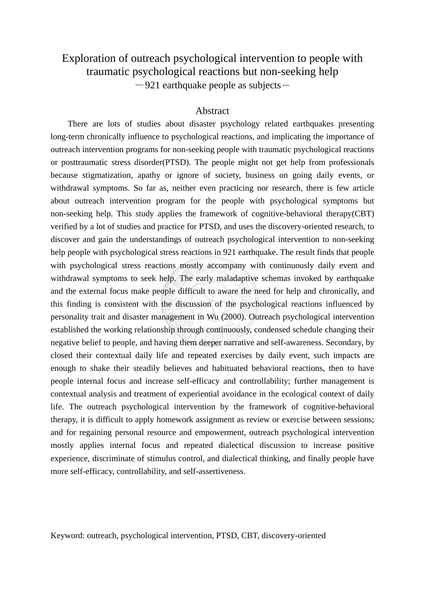## Exploration of outreach psychological intervention to people with traumatic psychological reactions but non-seeking help  $-921$  earthquake people as subjects-

## Abstract

There are lots of studies about disaster psychology related earthquakes presenting long-term chronically influence to psychological reactions, and implicating the importance of outreach intervention programs for non-seeking people with traumatic psychological reactions or posttraumatic stress disorder(PTSD). The people might not get help from professionals because stigmatization, apathy or ignore of society, business on going daily events, or withdrawal symptoms. So far as, neither even practicing nor research, there is few article about outreach intervention program for the people with psychological symptoms but non-seeking help. This study applies the framework of cognitive-behavioral therapy(CBT) verified by a lot of studies and practice for PTSD, and uses the discovery-oriented research, to discover and gain the understandings of outreach psychological intervention to non-seeking help people with psychological stress reactions in 921 earthquake. The result finds that people with psychological stress reactions mostly accompany with continuously daily event and withdrawal symptoms to seek help. The early maladaptive schemas invoked by earthquake and the external focus make people difficult to aware the need for help and chronically, and this finding is consistent with the discussion of the psychological reactions influenced by personality trait and disaster management in Wu (2000). Outreach psychological intervention established the working relationship through continuously, condensed schedule changing their negative belief to people, and having them deeper narrative and self-awareness. Secondary, by closed their contextual daily life and repeated exercises by daily event, such impacts are enough to shake their steadily believes and habituated behavioral reactions, then to have people internal focus and increase self-efficacy and controllability; further management is contextual analysis and treatment of experiential avoidance in the ecological context of daily life. The outreach psychological intervention by the framework of cognitive-behavioral therapy, it is difficult to apply homework assignment as review or exercise between sessions; and for regaining personal resource and empowerment, outreach psychological intervention mostly applies internal focus and repeated dialectical discussion to increase positive experience, discriminate of stimulus control, and dialectical thinking, and finally people have more self-efficacy, controllability, and self-assertiveness.

Keyword: outreach, psychological intervention, PTSD, CBT, discovery-oriented